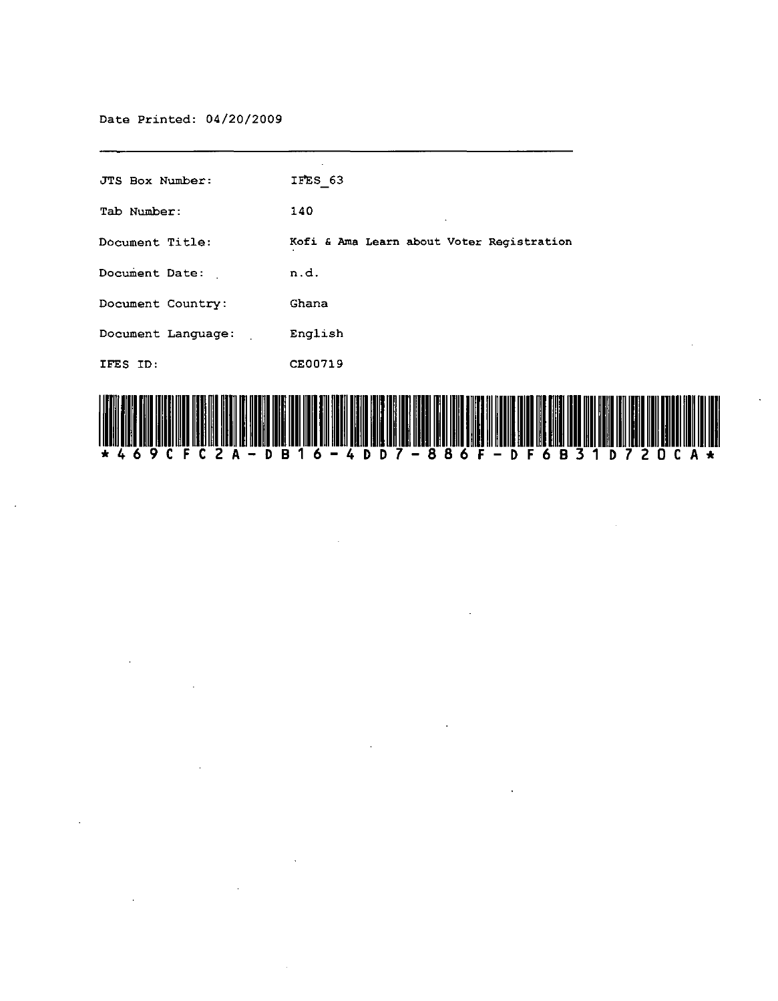$\sim$ 

 $\ddot{\phantom{0}}$ 

 $\ddot{\phantom{a}}$ 

 $\sim 10^7$ 

| JTS Box Number:    | IFES 63                                                                                                                                                                                                                        |
|--------------------|--------------------------------------------------------------------------------------------------------------------------------------------------------------------------------------------------------------------------------|
| Tab Number:        | 140                                                                                                                                                                                                                            |
| Document Title:    | Kofi & Ama Learn about Voter Registration                                                                                                                                                                                      |
| Document Date:     | n.d.                                                                                                                                                                                                                           |
| Document Country:  | Ghana                                                                                                                                                                                                                          |
| Document Language: | English                                                                                                                                                                                                                        |
| IFES ID:           | CE00719                                                                                                                                                                                                                        |
|                    | t (1901), stark and wines wine was different in comparison with an order stark into the term of the start with comparison of the stark with an analyzed the start of the start of the start of the start of the start of the s |



 $\mathcal{L}_{\mathcal{A}}$ 

 $\ddot{\phantom{a}}$ 

 $\sim$ 

 $\bar{\Delta}$ 

 $\mathcal{A}$ 

 $\mathcal{A}$ 

 $\sim$   $\sim$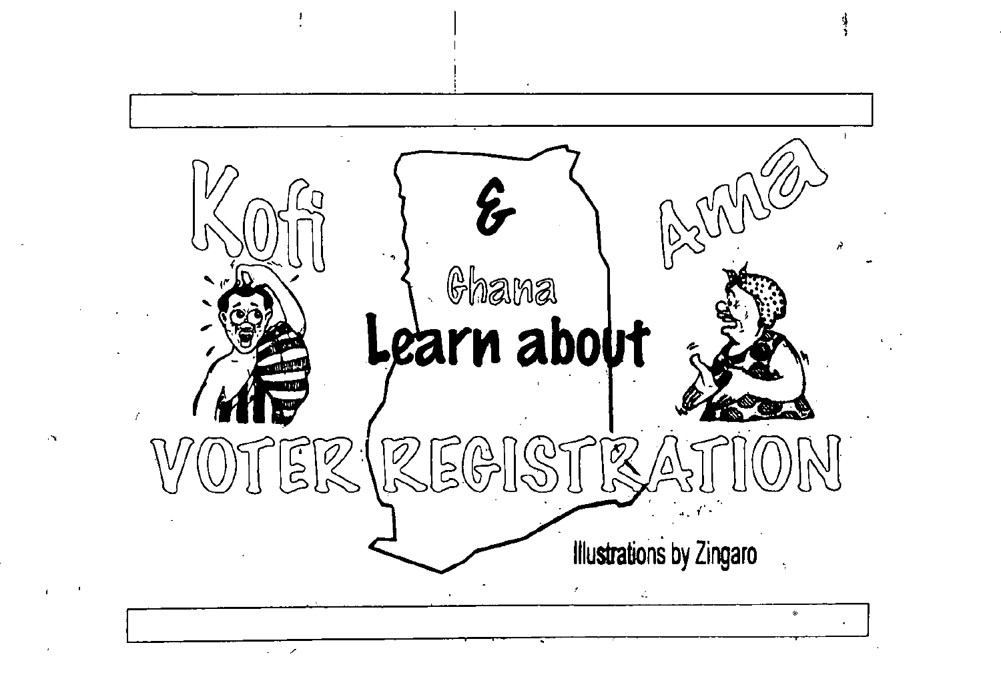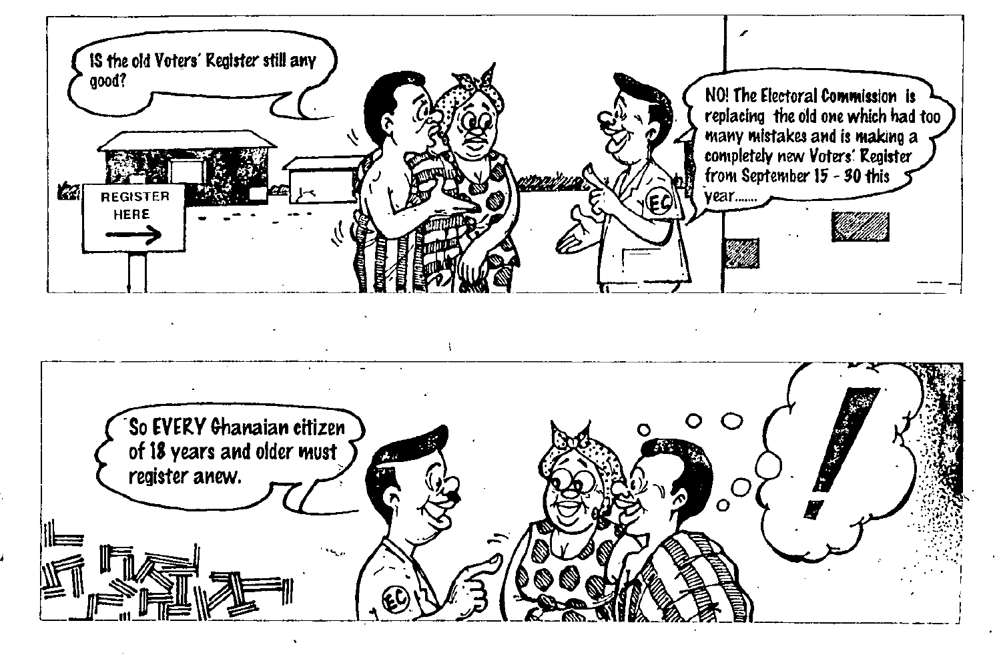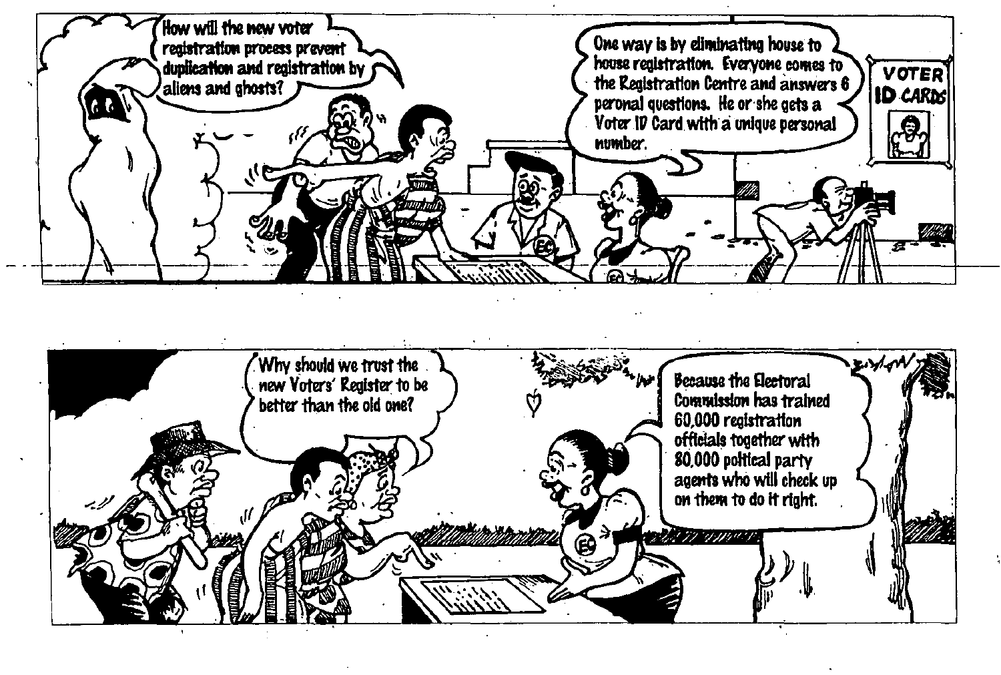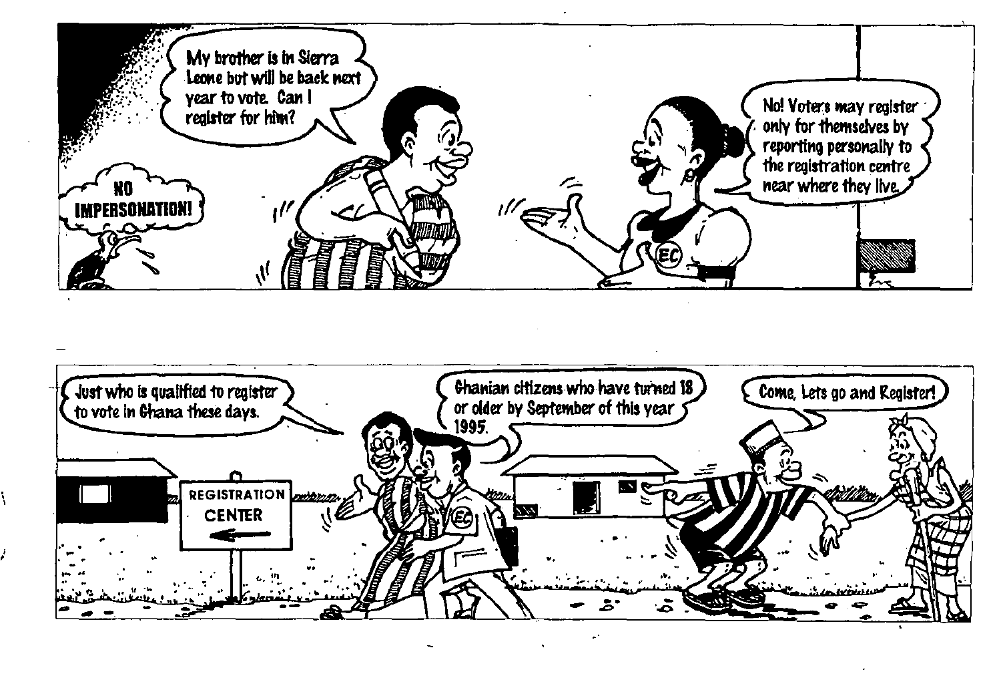

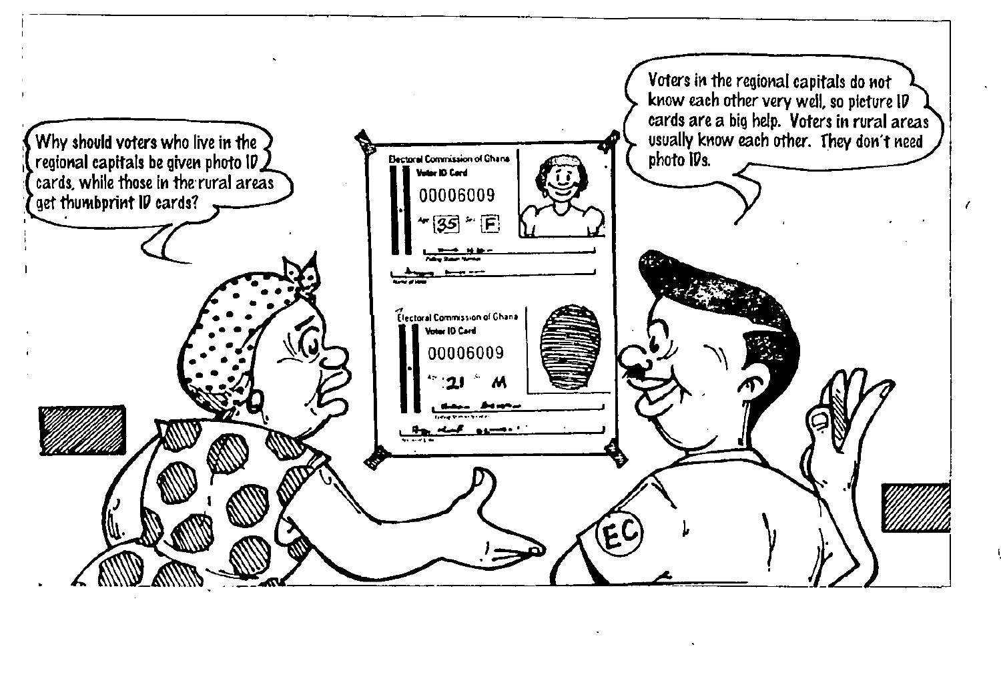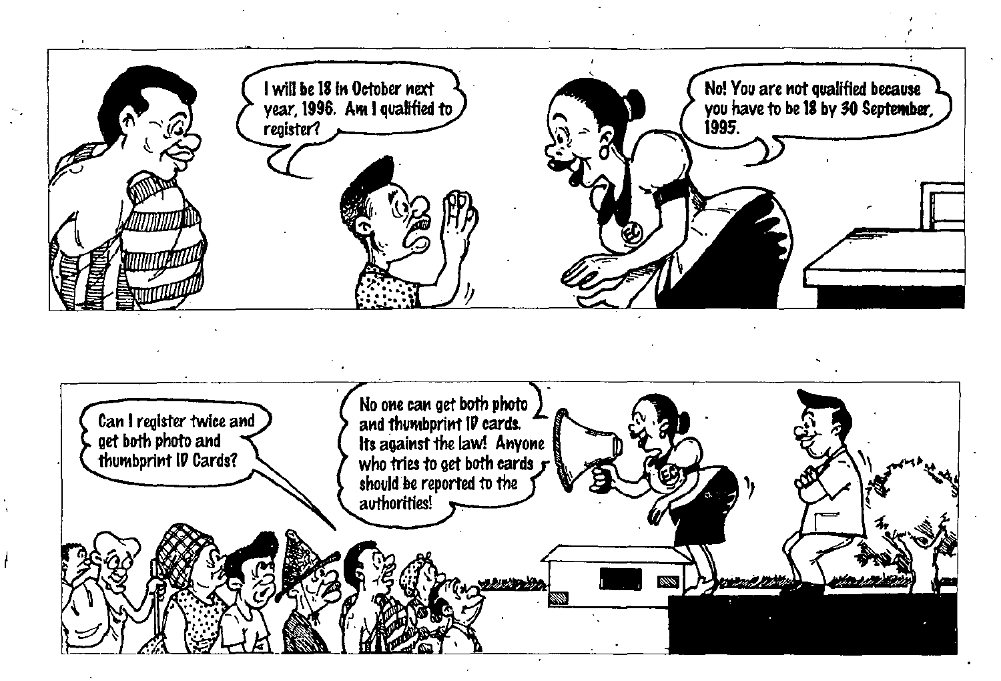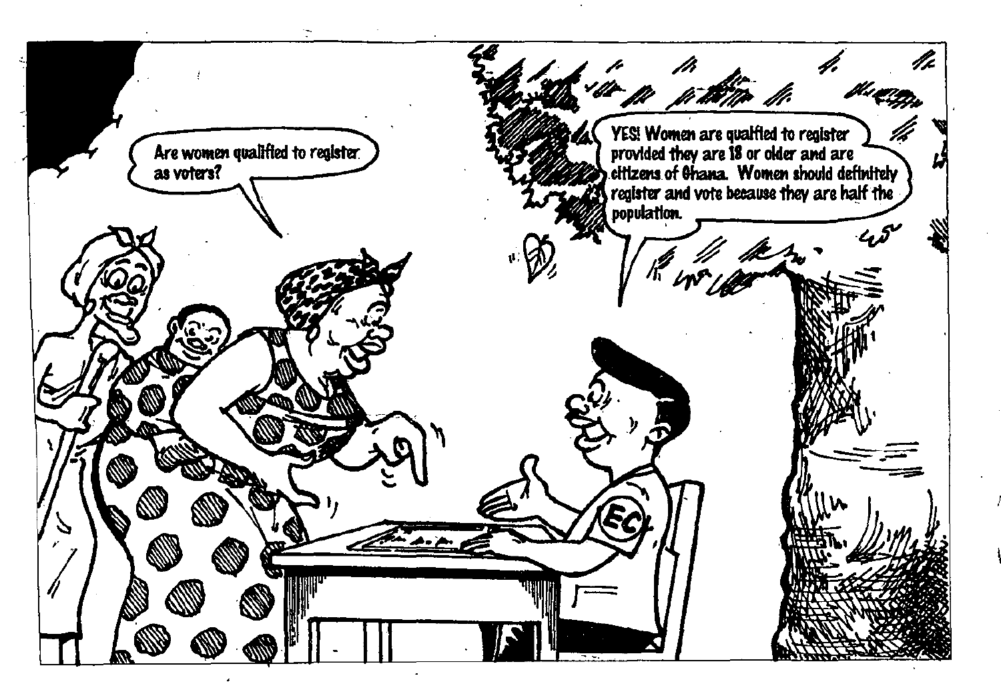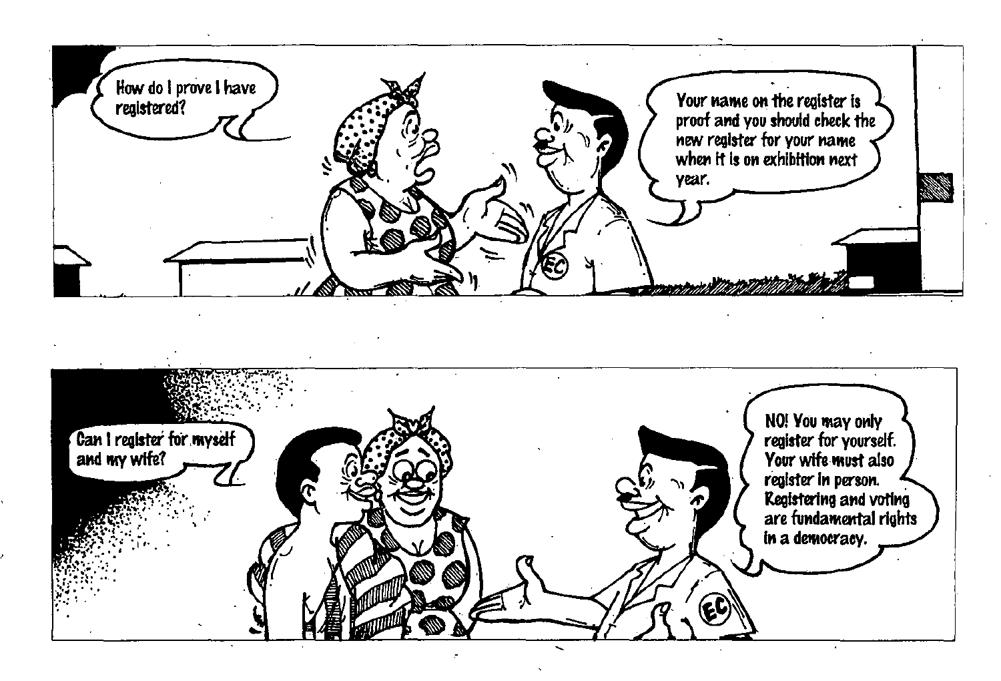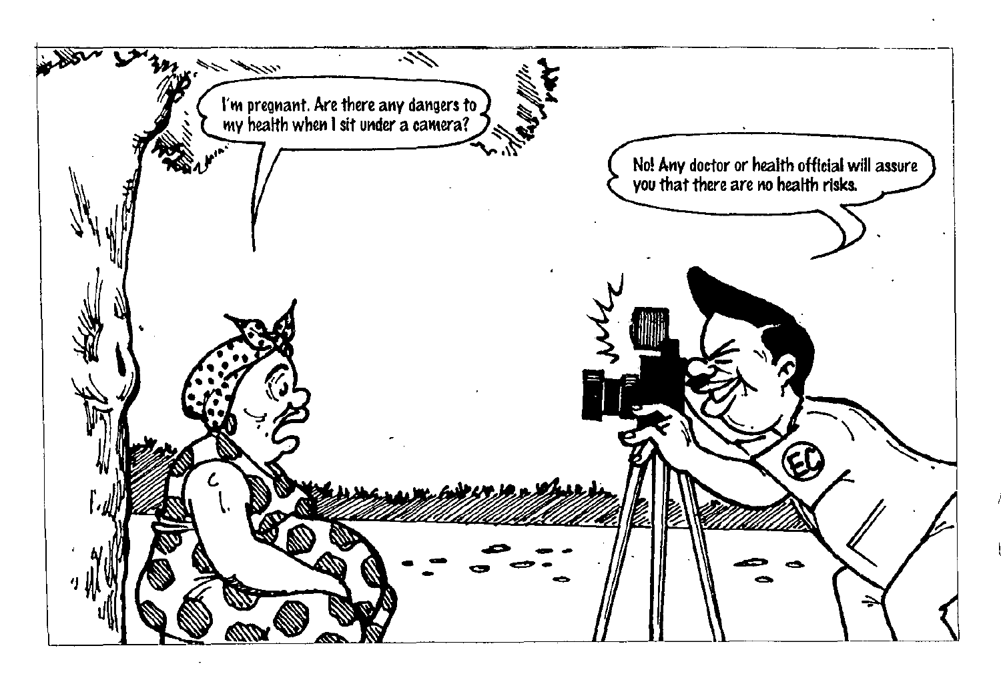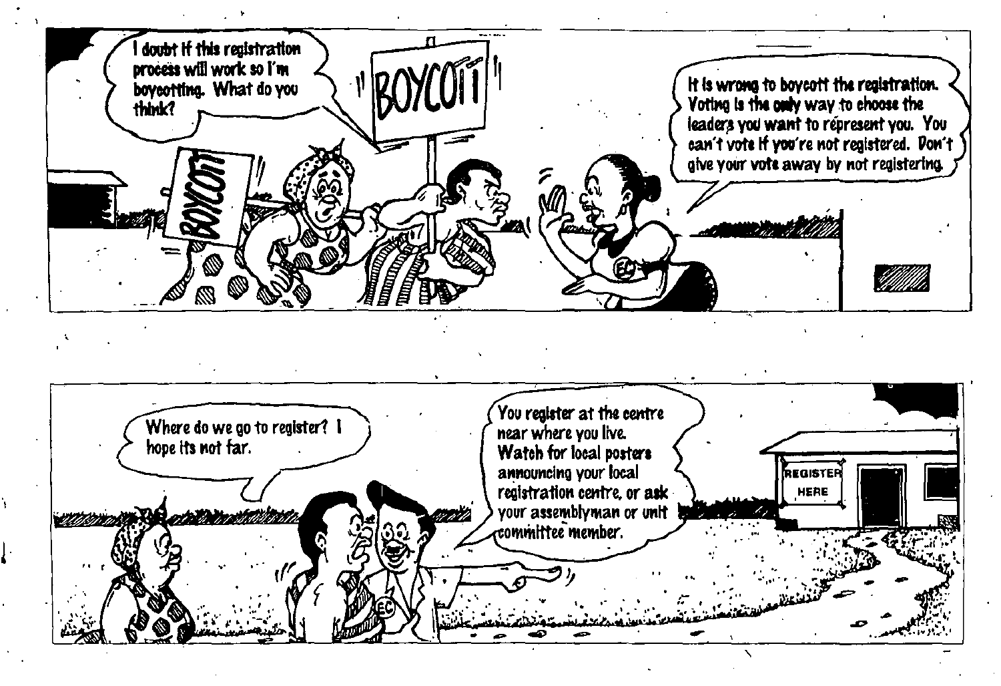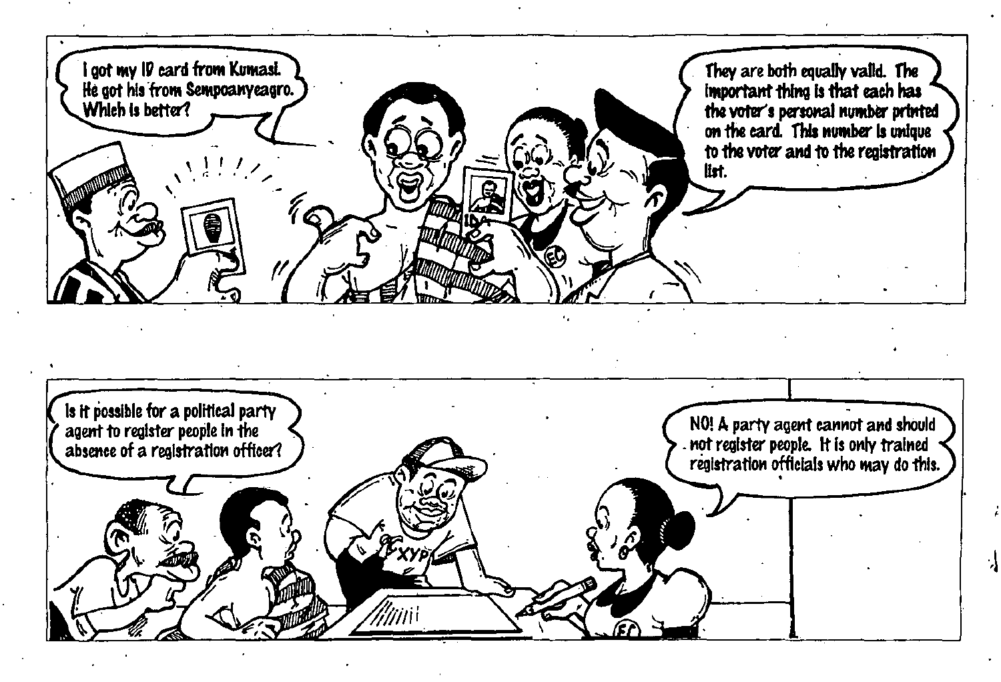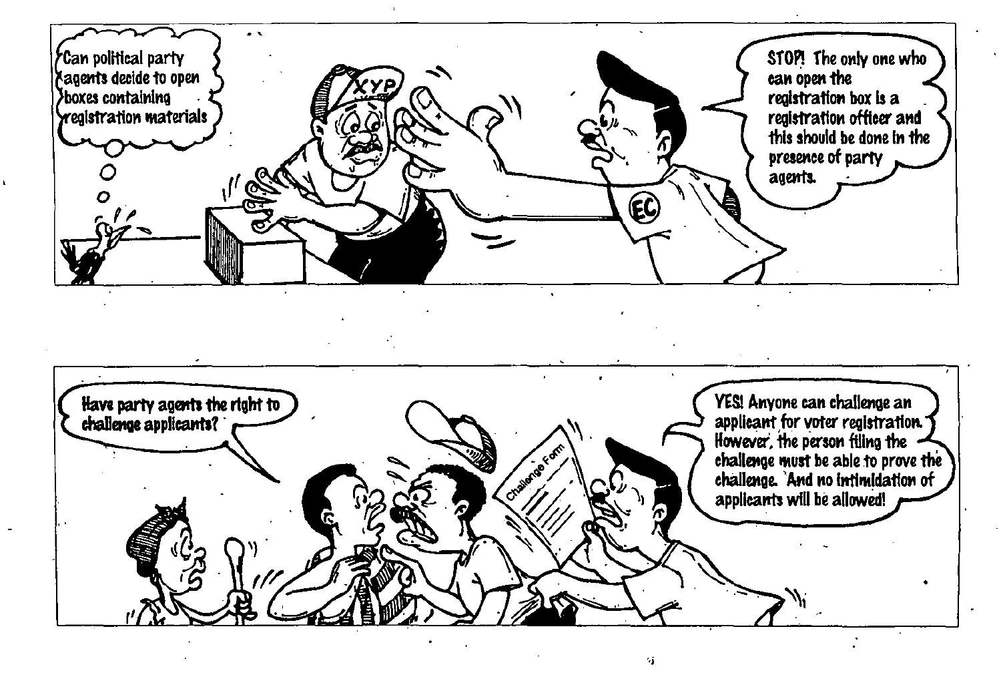

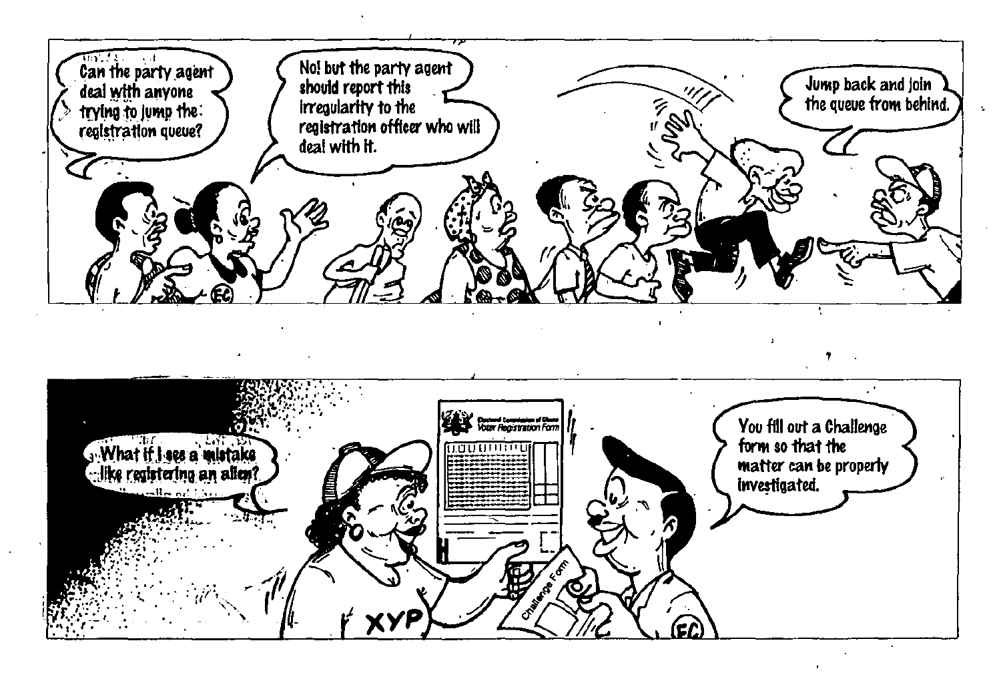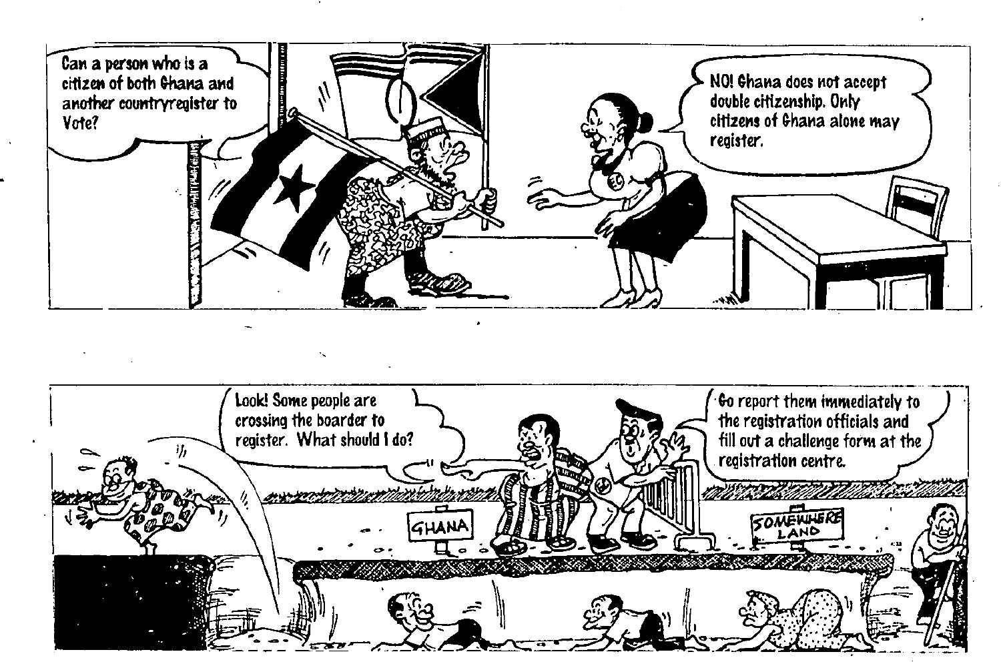

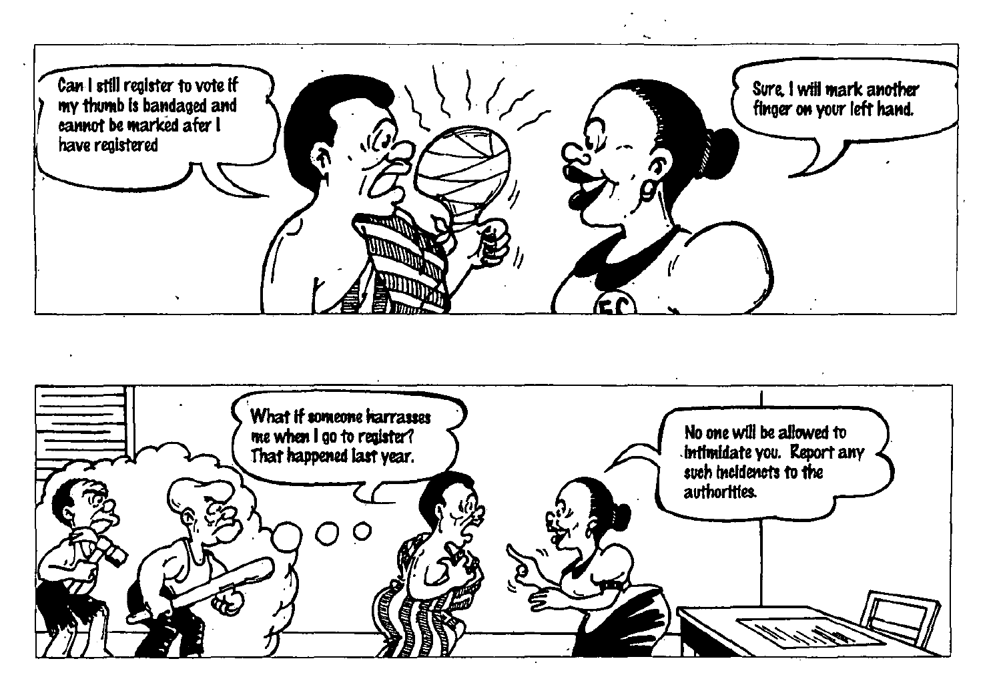

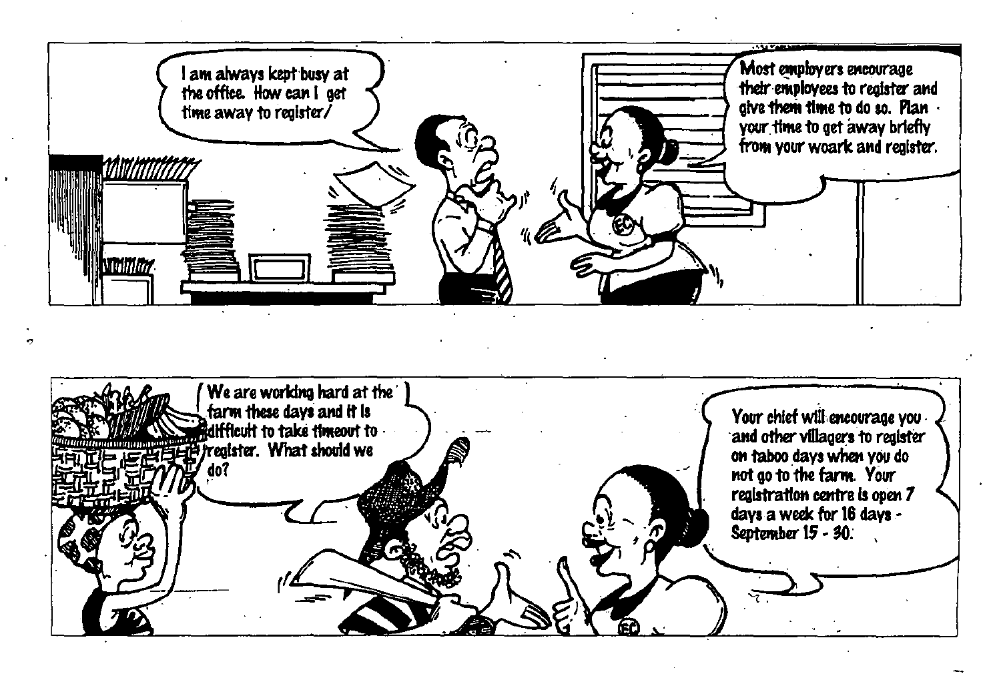

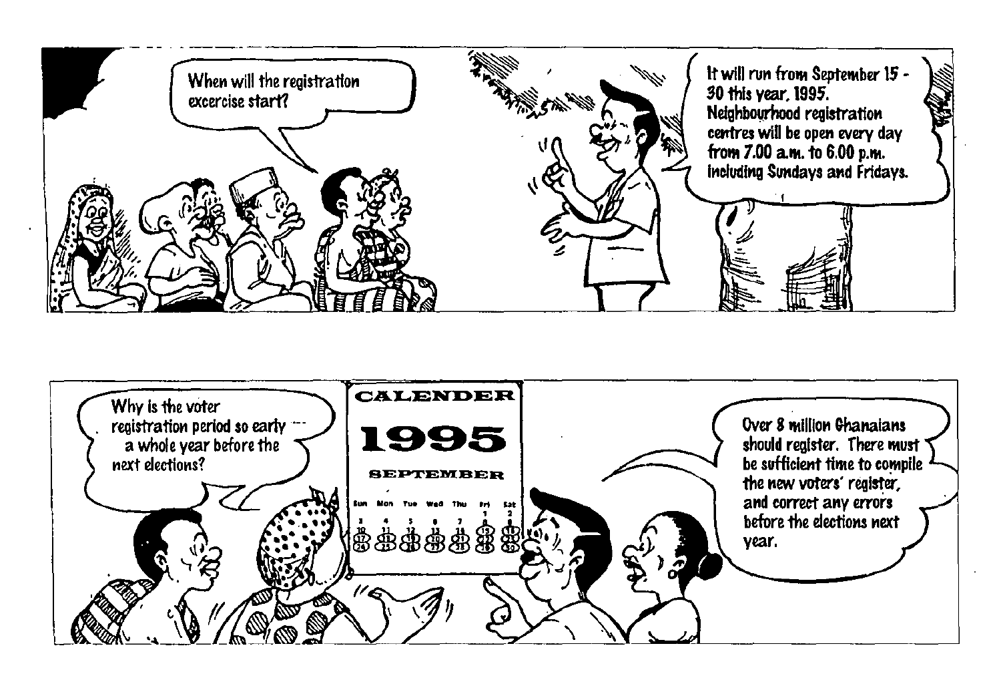

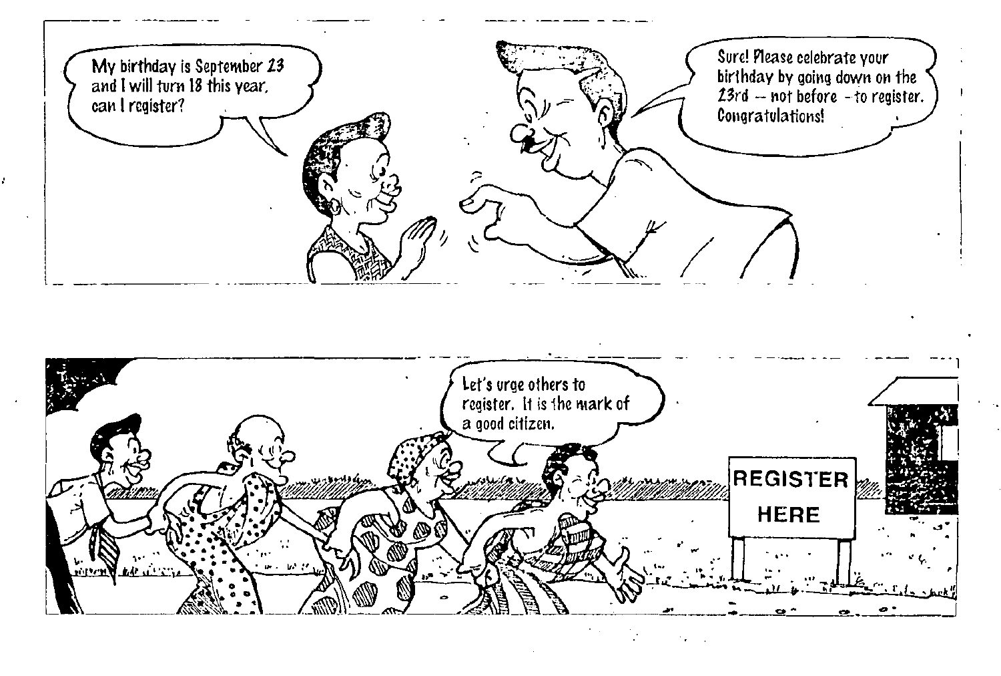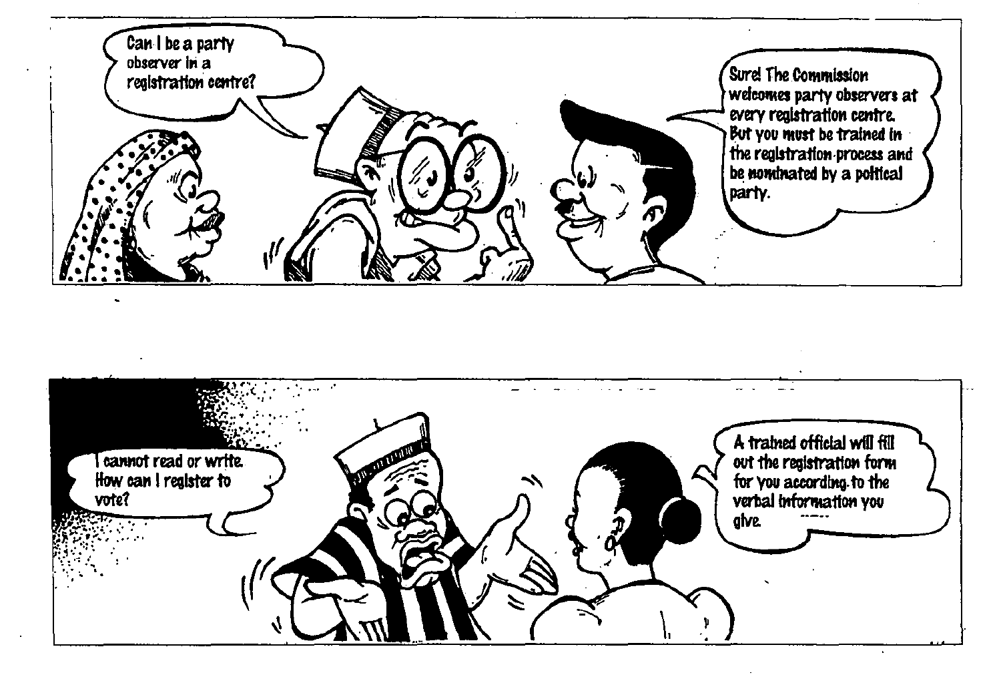

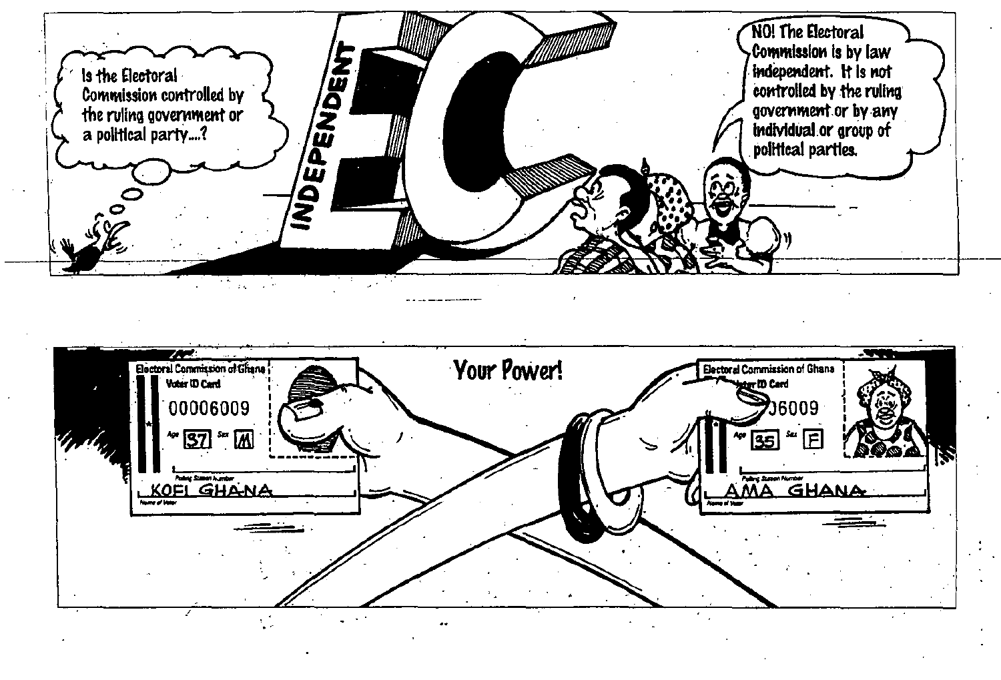

 $7.23$ Your Power! Electoral Commission of Ghane **Electoral Commission of Ghana** Voter ID Card er 100 Card 00006009 ე6009 (helig \* 37 \* M W KOFI GHANA MA GHANA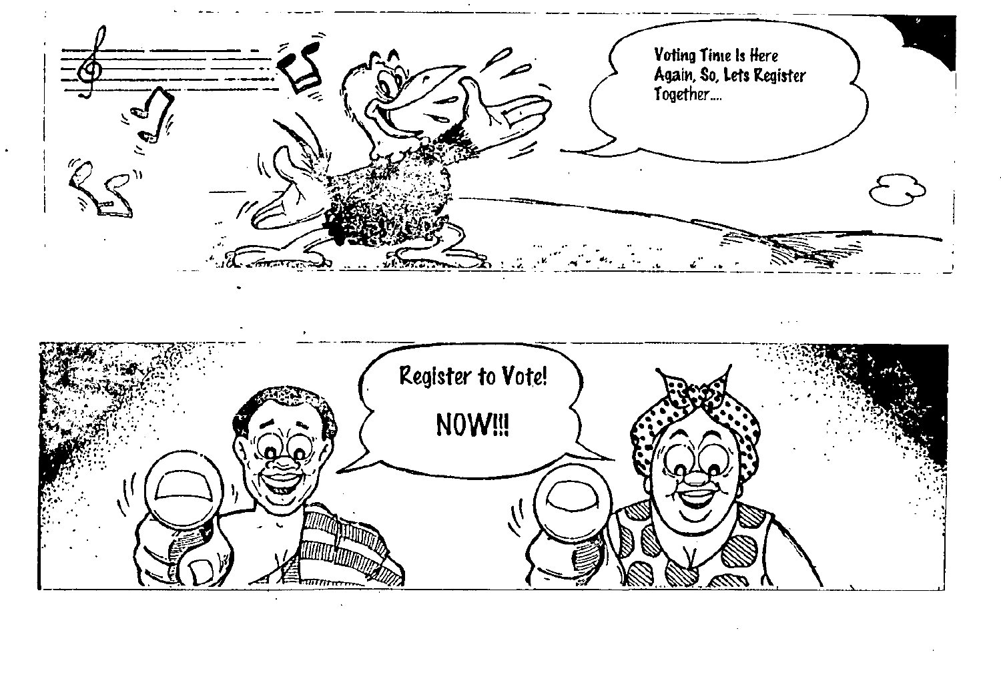

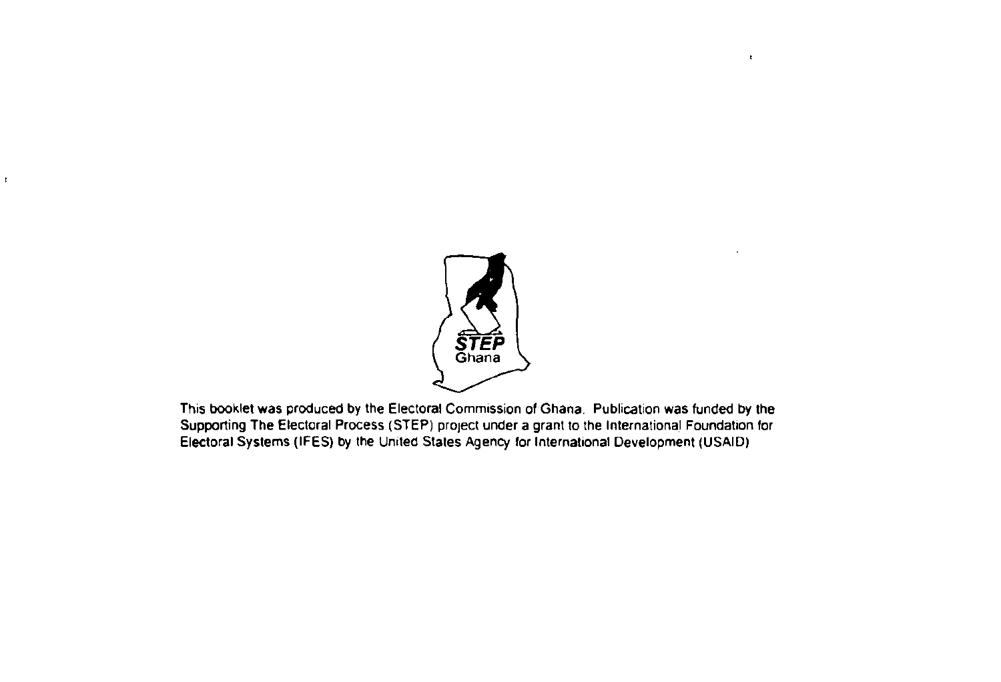

ŕ.

 $\mathbf{t}$ 

This booklet was produced by the Electoral Commission of Ghana. Publication was funded by the Supporting The Electoral Process (STEP) project under a grant to the International Foundation for Electoral Systems (IFES) by the United Stales Agency for International Development (USAID)